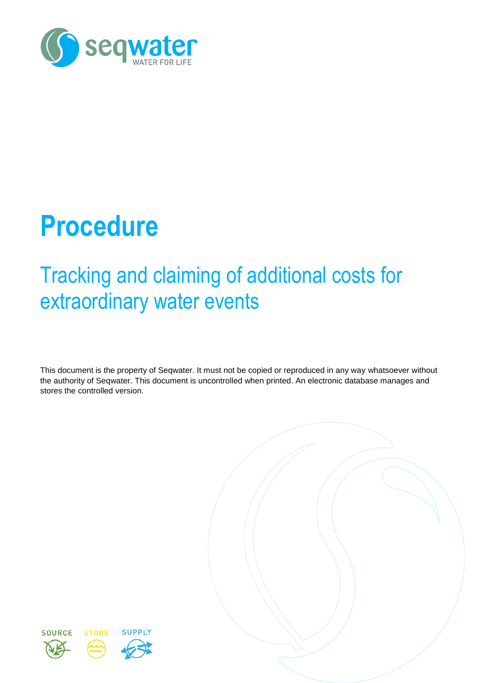

# **Procedure**

## Tracking and claiming of additional costs for extraordinary water events

This document is the property of Seqwater. It must not be copied or reproduced in any way whatsoever without the authority of Seqwater. This document is uncontrolled when printed. An electronic database manages and stores the controlled version.



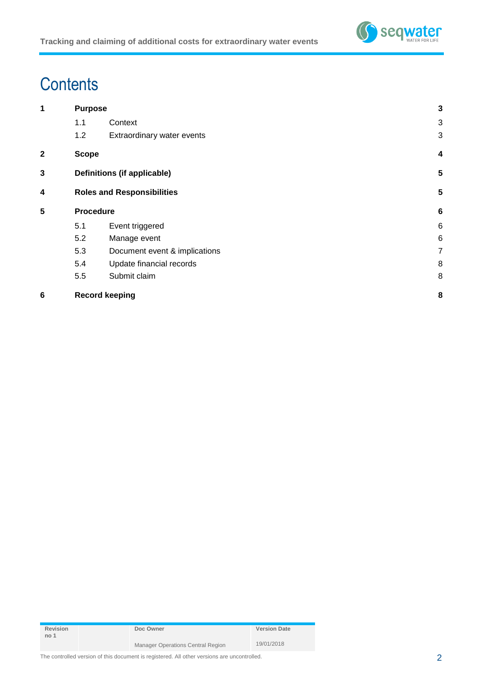

### **Contents**

| 1 | <b>Purpose</b>                    |                                    | 3 |  |
|---|-----------------------------------|------------------------------------|---|--|
|   | 1.1                               | Context                            | 3 |  |
|   | 1.2                               | Extraordinary water events         | 3 |  |
| 2 | <b>Scope</b>                      |                                    | 4 |  |
| 3 |                                   | <b>Definitions (if applicable)</b> | 5 |  |
| 4 | <b>Roles and Responsibilities</b> |                                    |   |  |
| 5 | <b>Procedure</b>                  |                                    |   |  |
|   | 5.1                               | Event triggered                    | 6 |  |
|   | 5.2                               | Manage event                       | 6 |  |
|   | 5.3                               | Document event & implications      | 7 |  |
|   | 5.4                               | Update financial records           | 8 |  |
|   | 5.5                               | Submit claim                       | 8 |  |
| 6 |                                   | <b>Record keeping</b>              | 8 |  |
|   |                                   |                                    |   |  |

| <b>Revision</b><br>no 1 | Doc Owner                         | <b>Version Date</b> |
|-------------------------|-----------------------------------|---------------------|
|                         | Manager Operations Central Region | 19/01/2018          |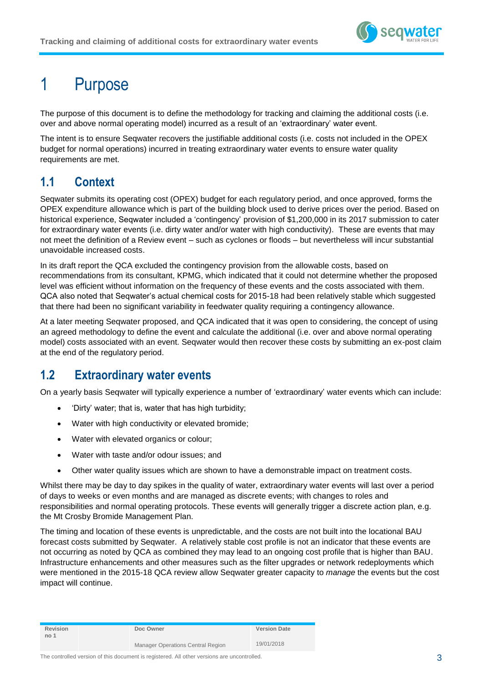

### <span id="page-2-0"></span>1 Purpose

The purpose of this document is to define the methodology for tracking and claiming the additional costs (i.e. over and above normal operating model) incurred as a result of an 'extraordinary' water event.

The intent is to ensure Seqwater recovers the justifiable additional costs (i.e. costs not included in the OPEX budget for normal operations) incurred in treating extraordinary water events to ensure water quality requirements are met.

#### <span id="page-2-1"></span>**1.1 Context**

Seqwater submits its operating cost (OPEX) budget for each regulatory period, and once approved, forms the OPEX expenditure allowance which is part of the building block used to derive prices over the period. Based on historical experience, Seqwater included a 'contingency' provision of \$1,200,000 in its 2017 submission to cater for extraordinary water events (i.e. dirty water and/or water with high conductivity). These are events that may not meet the definition of a Review event – such as cyclones or floods – but nevertheless will incur substantial unavoidable increased costs.

In its draft report the QCA excluded the contingency provision from the allowable costs, based on recommendations from its consultant, KPMG, which indicated that it could not determine whether the proposed level was efficient without information on the frequency of these events and the costs associated with them. QCA also noted that Seqwater's actual chemical costs for 2015-18 had been relatively stable which suggested that there had been no significant variability in feedwater quality requiring a contingency allowance.

At a later meeting Seqwater proposed, and QCA indicated that it was open to considering, the concept of using an agreed methodology to define the event and calculate the additional (i.e. over and above normal operating model) costs associated with an event. Seqwater would then recover these costs by submitting an ex-post claim at the end of the regulatory period.

#### <span id="page-2-2"></span>**1.2 Extraordinary water events**

On a yearly basis Seqwater will typically experience a number of 'extraordinary' water events which can include:

- 'Dirty' water; that is, water that has high turbidity;
- Water with high conductivity or elevated bromide;
- Water with elevated organics or colour;
- Water with taste and/or odour issues; and
- Other water quality issues which are shown to have a demonstrable impact on treatment costs.

Whilst there may be day to day spikes in the quality of water, extraordinary water events will last over a period of days to weeks or even months and are managed as discrete events; with changes to roles and responsibilities and normal operating protocols. These events will generally trigger a discrete action plan, e.g. the Mt Crosby Bromide Management Plan.

The timing and location of these events is unpredictable, and the costs are not built into the locational BAU forecast costs submitted by Seqwater. A relatively stable cost profile is not an indicator that these events are not occurring as noted by QCA as combined they may lead to an ongoing cost profile that is higher than BAU. Infrastructure enhancements and other measures such as the filter upgrades or network redeployments which were mentioned in the 2015-18 QCA review allow Seqwater greater capacity to *manage* the events but the cost impact will continue.

| <b>Revision</b><br>no 1 | Doc Owner                         | <b>Version Date</b> |
|-------------------------|-----------------------------------|---------------------|
|                         | Manager Operations Central Region | 19/01/2018          |

The controlled version of this document is registered. All other versions are uncontrolled. 3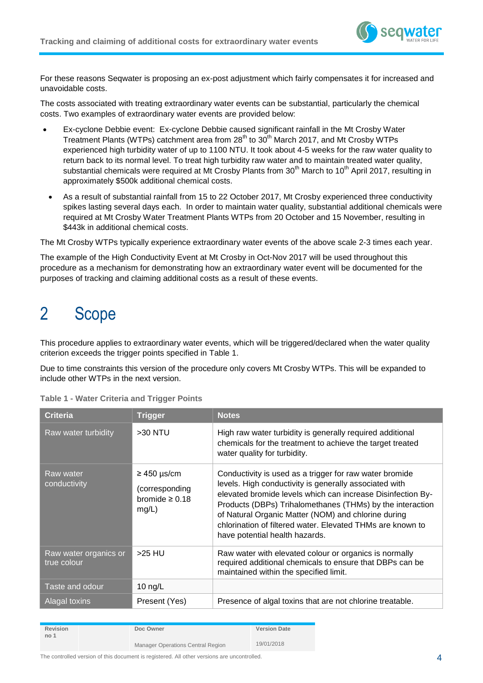

For these reasons Seqwater is proposing an ex-post adjustment which fairly compensates it for increased and unavoidable costs.

The costs associated with treating extraordinary water events can be substantial, particularly the chemical costs. Two examples of extraordinary water events are provided below:

- Ex-cyclone Debbie event: Ex-cyclone Debbie caused significant rainfall in the Mt Crosby Water Treatment Plants (WTPs) catchment area from  $28<sup>th</sup>$  to  $30<sup>th</sup>$  March 2017, and Mt Crosby WTPs experienced high turbidity water of up to 1100 NTU. It took about 4-5 weeks for the raw water quality to return back to its normal level. To treat high turbidity raw water and to maintain treated water quality, substantial chemicals were required at Mt Crosby Plants from  $30<sup>th</sup>$  March to 10<sup>th</sup> April 2017, resulting in approximately \$500k additional chemical costs.
- As a result of substantial rainfall from 15 to 22 October 2017, Mt Crosby experienced three conductivity spikes lasting several days each. In order to maintain water quality, substantial additional chemicals were required at Mt Crosby Water Treatment Plants WTPs from 20 October and 15 November, resulting in \$443k in additional chemical costs.

The Mt Crosby WTPs typically experience extraordinary water events of the above scale 2-3 times each year.

The example of the High Conductivity Event at Mt Crosby in Oct-Nov 2017 will be used throughout this procedure as a mechanism for demonstrating how an extraordinary water event will be documented for the purposes of tracking and claiming additional costs as a result of these events.

### <span id="page-3-0"></span>2 Scope

This procedure applies to extraordinary water events, which will be triggered/declared when the water quality criterion exceeds the trigger points specified in [Table 1.](#page-3-1)

Due to time constraints this version of the procedure only covers Mt Crosby WTPs. This will be expanded to include other WTPs in the next version.

| <b>Criteria</b>                      | <b>Trigger</b>                                                     | <b>Notes</b>                                                                                                                                                                                                                                                                                                                                                                                         |
|--------------------------------------|--------------------------------------------------------------------|------------------------------------------------------------------------------------------------------------------------------------------------------------------------------------------------------------------------------------------------------------------------------------------------------------------------------------------------------------------------------------------------------|
| Raw water turbidity                  | $>30$ NTU                                                          | High raw water turbidity is generally required additional<br>chemicals for the treatment to achieve the target treated<br>water quality for turbidity.                                                                                                                                                                                                                                               |
| Raw water<br>conductivity            | $\geq$ 450 µs/cm<br>(corresponding<br>bromide $\geq 0.18$<br>mg/L) | Conductivity is used as a trigger for raw water bromide<br>levels. High conductivity is generally associated with<br>elevated bromide levels which can increase Disinfection By-<br>Products (DBPs) Trihalomethanes (THMs) by the interaction<br>of Natural Organic Matter (NOM) and chlorine during<br>chlorination of filtered water. Elevated THMs are known to<br>have potential health hazards. |
| Raw water organics or<br>true colour | $>25$ HU                                                           | Raw water with elevated colour or organics is normally<br>required additional chemicals to ensure that DBPs can be<br>maintained within the specified limit.                                                                                                                                                                                                                                         |
| Taste and odour                      | $10$ ng/L                                                          |                                                                                                                                                                                                                                                                                                                                                                                                      |
| Alagal toxins                        | Present (Yes)                                                      | Presence of algal toxins that are not chlorine treatable.                                                                                                                                                                                                                                                                                                                                            |

<span id="page-3-1"></span>**Table 1 - Water Criteria and Trigger Points**

| Revision<br>no 1 | Doc Owner                         | <b>Version Date</b> |
|------------------|-----------------------------------|---------------------|
|                  | Manager Operations Central Region | 19/01/2018          |

The controlled version of this document is registered. All other versions are uncontrolled. 44 AM and the controlled versions are uncontrolled.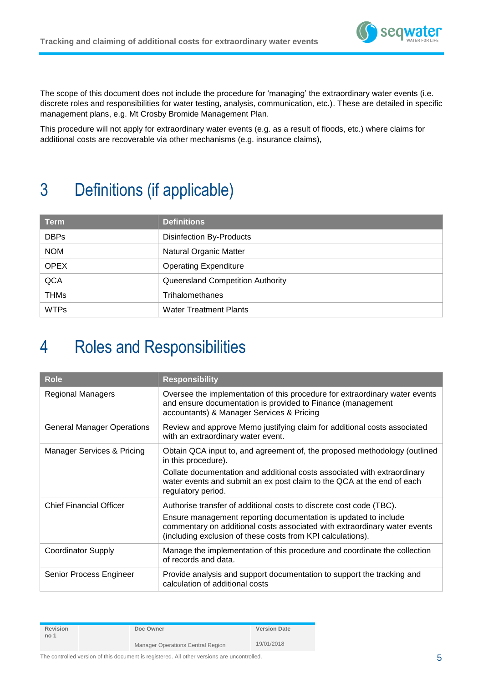

The scope of this document does not include the procedure for 'managing' the extraordinary water events (i.e. discrete roles and responsibilities for water testing, analysis, communication, etc.). These are detailed in specific management plans, e.g. Mt Crosby Bromide Management Plan.

This procedure will not apply for extraordinary water events (e.g. as a result of floods, etc.) where claims for additional costs are recoverable via other mechanisms (e.g. insurance claims),

### <span id="page-4-0"></span>3 Definitions (if applicable)

| <b>Term</b> | <b>Definitions</b>               |
|-------------|----------------------------------|
| <b>DBPs</b> | <b>Disinfection By-Products</b>  |
| <b>NOM</b>  | Natural Organic Matter           |
| <b>OPEX</b> | <b>Operating Expenditure</b>     |
| QCA         | Queensland Competition Authority |
| <b>THMs</b> | Trihalomethanes                  |
| <b>WTPs</b> | <b>Water Treatment Plants</b>    |

### <span id="page-4-1"></span>4 Roles and Responsibilities

| <b>Role</b>                       | <b>Responsibility</b>                                                                                                                                                                                       |
|-----------------------------------|-------------------------------------------------------------------------------------------------------------------------------------------------------------------------------------------------------------|
| Regional Managers                 | Oversee the implementation of this procedure for extraordinary water events<br>and ensure documentation is provided to Finance (management<br>accountants) & Manager Services & Pricing                     |
| <b>General Manager Operations</b> | Review and approve Memo justifying claim for additional costs associated<br>with an extraordinary water event.                                                                                              |
| Manager Services & Pricing        | Obtain QCA input to, and agreement of, the proposed methodology (outlined<br>in this procedure).                                                                                                            |
|                                   | Collate documentation and additional costs associated with extraordinary<br>water events and submit an ex post claim to the QCA at the end of each<br>regulatory period.                                    |
| <b>Chief Financial Officer</b>    | Authorise transfer of additional costs to discrete cost code (TBC).                                                                                                                                         |
|                                   | Ensure management reporting documentation is updated to include<br>commentary on additional costs associated with extraordinary water events<br>(including exclusion of these costs from KPI calculations). |
| Coordinator Supply                | Manage the implementation of this procedure and coordinate the collection<br>of records and data.                                                                                                           |
| Senior Process Engineer           | Provide analysis and support documentation to support the tracking and<br>calculation of additional costs                                                                                                   |

| Revision<br>no 1 | Doc Owner                         | <b>Version Date</b> |
|------------------|-----------------------------------|---------------------|
|                  | Manager Operations Central Region | 19/01/2018          |

The controlled version of this document is registered. All other versions are uncontrolled. 5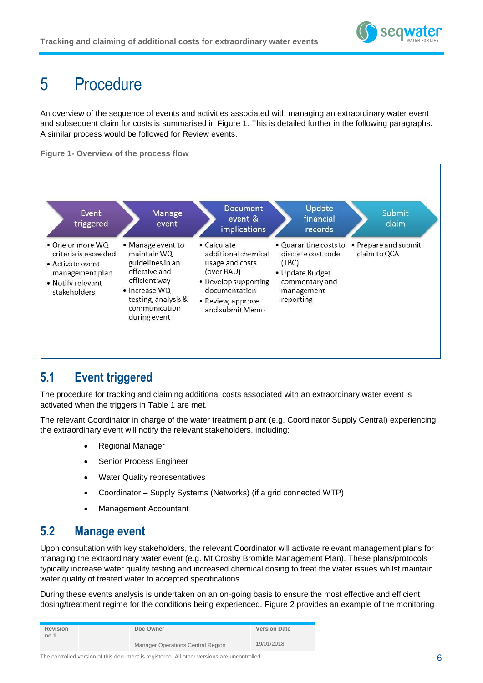

### <span id="page-5-0"></span>5 Procedure

An overview of the sequence of events and activities associated with managing an extraordinary water event and subsequent claim for costs is summarised in [Figure 1.](#page-5-3) This is detailed further in the following paragraphs. A similar process would be followed for Review events.

<span id="page-5-3"></span>



#### <span id="page-5-1"></span>**5.1 Event triggered**

The procedure for tracking and claiming additional costs associated with an extraordinary water event is activated when the triggers in [Table 1](#page-3-1) are met.

The relevant Coordinator in charge of the water treatment plant (e.g. Coordinator Supply Central) experiencing the extraordinary event will notify the relevant stakeholders, including:

- Regional Manager
- Senior Process Engineer
- Water Quality representatives
- Coordinator Supply Systems (Networks) (if a grid connected WTP)
- Management Accountant

#### <span id="page-5-2"></span>**5.2 Manage event**

Upon consultation with key stakeholders, the relevant Coordinator will activate relevant management plans for managing the extraordinary water event (e.g. Mt Crosby Bromide Management Plan). These plans/protocols typically increase water quality testing and increased chemical dosing to treat the water issues whilst maintain water quality of treated water to accepted specifications.

During these events analysis is undertaken on an on-going basis to ensure the most effective and efficient dosing/treatment regime for the conditions being experienced. [Figure 2](#page-6-1) provides an example of the monitoring

| Revision<br>no 1 | Doc Owner                         | <b>Version Date</b> |
|------------------|-----------------------------------|---------------------|
|                  | Manager Operations Central Region | 19/01/2018          |

The controlled version of this document is registered. All other versions are uncontrolled.  $6$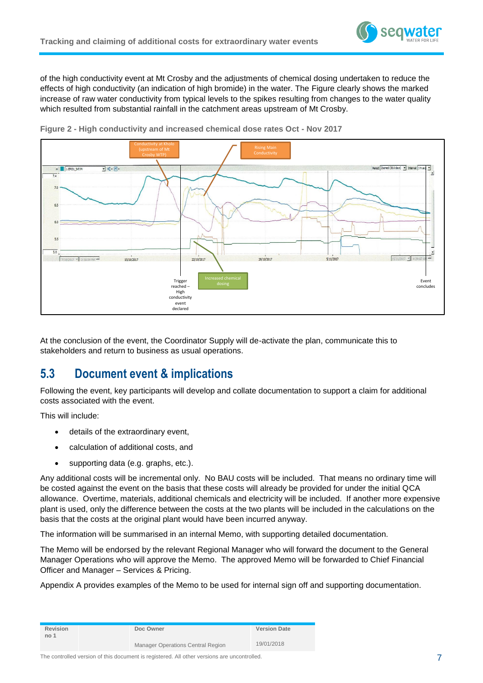

of the high conductivity event at Mt Crosby and the adjustments of chemical dosing undertaken to reduce the effects of high conductivity (an indication of high bromide) in the water. The Figure clearly shows the marked increase of raw water conductivity from typical levels to the spikes resulting from changes to the water quality which resulted from substantial rainfall in the catchment areas upstream of Mt Crosby.



<span id="page-6-1"></span>**Figure 2 - High conductivity and increased chemical dose rates Oct - Nov 2017**

At the conclusion of the event, the Coordinator Supply will de-activate the plan, communicate this to stakeholders and return to business as usual operations.

#### <span id="page-6-0"></span>**5.3 Document event & implications**

Following the event, key participants will develop and collate documentation to support a claim for additional costs associated with the event.

This will include:

- details of the extraordinary event,
- calculation of additional costs, and
- supporting data (e.g. graphs, etc.).

Any additional costs will be incremental only. No BAU costs will be included. That means no ordinary time will be costed against the event on the basis that these costs will already be provided for under the initial QCA allowance. Overtime, materials, additional chemicals and electricity will be included. If another more expensive plant is used, only the difference between the costs at the two plants will be included in the calculations on the basis that the costs at the original plant would have been incurred anyway.

The information will be summarised in an internal Memo, with supporting detailed documentation.

The Memo will be endorsed by the relevant Regional Manager who will forward the document to the General Manager Operations who will approve the Memo. The approved Memo will be forwarded to Chief Financial Officer and Manager – Services & Pricing.

Appendix A provides examples of the Memo to be used for internal sign off and supporting documentation.

| Revision<br>no 1 | Doc Owner                                | <b>Version Date</b> |
|------------------|------------------------------------------|---------------------|
|                  | <b>Manager Operations Central Region</b> | 19/01/2018          |

The controlled version of this document is registered. All other versions are uncontrolled. **7** T